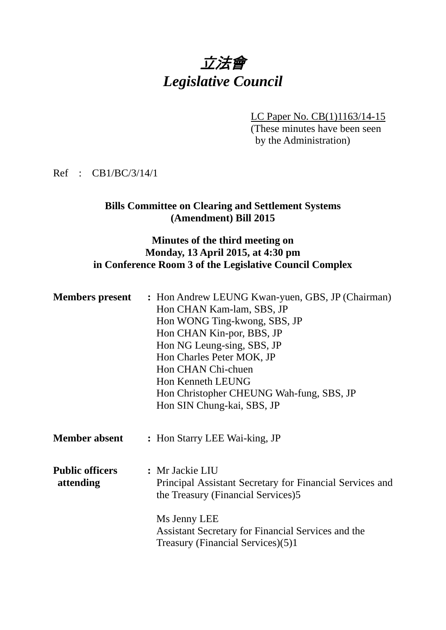# 立法會 *Legislative Council*

LC Paper No. CB(1)1163/14-15 (These minutes have been seen by the Administration)

Ref : CB1/BC/3/14/1

# **Bills Committee on Clearing and Settlement Systems (Amendment) Bill 2015**

### **Minutes of the third meeting on Monday, 13 April 2015, at 4:30 pm in Conference Room 3 of the Legislative Council Complex**

| <b>Members present</b>              | : Hon Andrew LEUNG Kwan-yuen, GBS, JP (Chairman)<br>Hon CHAN Kam-lam, SBS, JP<br>Hon WONG Ting-kwong, SBS, JP<br>Hon CHAN Kin-por, BBS, JP<br>Hon NG Leung-sing, SBS, JP<br>Hon Charles Peter MOK, JP<br>Hon CHAN Chi-chuen<br>Hon Kenneth LEUNG<br>Hon Christopher CHEUNG Wah-fung, SBS, JP<br>Hon SIN Chung-kai, SBS, JP |
|-------------------------------------|----------------------------------------------------------------------------------------------------------------------------------------------------------------------------------------------------------------------------------------------------------------------------------------------------------------------------|
| <b>Member absent</b>                | : Hon Starry LEE Wai-king, JP                                                                                                                                                                                                                                                                                              |
| <b>Public officers</b><br>attending | : Mr Jackie LIU<br>Principal Assistant Secretary for Financial Services and<br>the Treasury (Financial Services)5<br>Ms Jenny LEE<br>Assistant Secretary for Financial Services and the<br>Treasury (Financial Services)(5)1                                                                                               |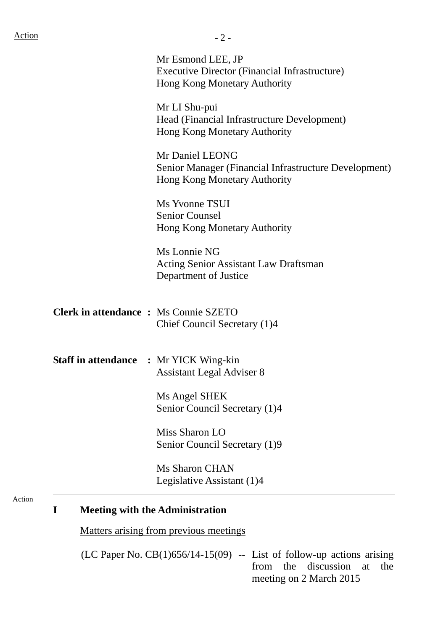Action

| <b>Action</b>                                 | $-2-$                                                                                                     |
|-----------------------------------------------|-----------------------------------------------------------------------------------------------------------|
|                                               | Mr Esmond LEE, JP<br><b>Executive Director (Financial Infrastructure)</b><br>Hong Kong Monetary Authority |
|                                               | Mr LI Shu-pui<br>Head (Financial Infrastructure Development)<br>Hong Kong Monetary Authority              |
|                                               | Mr Daniel LEONG<br>Senior Manager (Financial Infrastructure Development)<br>Hong Kong Monetary Authority  |
|                                               | Ms Yvonne TSUI<br><b>Senior Counsel</b><br>Hong Kong Monetary Authority                                   |
|                                               | Ms Lonnie NG<br>Acting Senior Assistant Law Draftsman<br>Department of Justice                            |
| <b>Clerk in attendance : Ms Connie SZETO</b>  | Chief Council Secretary (1)4                                                                              |
| <b>Staff in attendance : Mr YICK Wing-kin</b> | <b>Assistant Legal Adviser 8</b>                                                                          |
|                                               | Ms Angel SHEK<br>Senior Council Secretary (1)4                                                            |
|                                               | Miss Sharon LO<br>Senior Council Secretary (1)9                                                           |

Ms Sharon CHAN Legislative Assistant (1)4

# **I Meeting with the Administration**

Matters arising from previous meetings

(LC Paper No.  $CB(1)$ 656/14-15(09) -- List of follow-up actions arising from the discussion at the meeting on 2 March 2015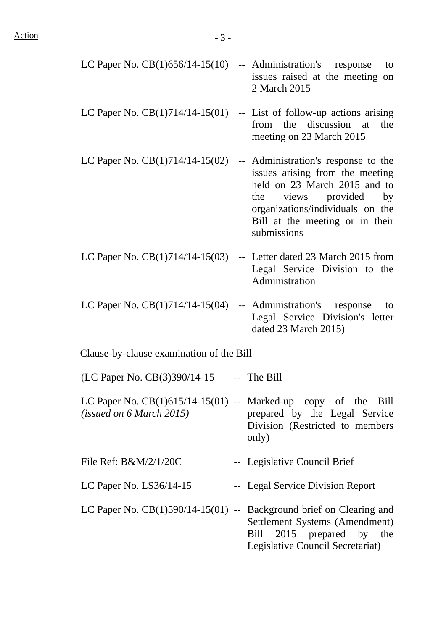| LC Paper No. $CB(1)656/14-15(10)$ -- Administration's response | to<br>issues raised at the meeting on<br>2 March 2015                                                                                                                                                                    |
|----------------------------------------------------------------|--------------------------------------------------------------------------------------------------------------------------------------------------------------------------------------------------------------------------|
|                                                                | LC Paper No. $CB(1)714/14-15(01)$ -- List of follow-up actions arising<br>from the discussion at<br>the<br>meeting on 23 March 2015                                                                                      |
| LC Paper No. $CB(1)714/14-15(02)$                              | -- Administration's response to the<br>issues arising from the meeting<br>held on 23 March 2015 and to<br>the views provided<br>by<br>organizations/individuals on the<br>Bill at the meeting or in their<br>submissions |
|                                                                | LC Paper No. $CB(1)714/14-15(03)$ -- Letter dated 23 March 2015 from<br>Legal Service Division to the<br>Administration                                                                                                  |
| LC Paper No. $CB(1)714/14-15(04)$                              | -- Administration's response<br>to<br>Legal Service Division's letter<br>dated 23 March 2015)                                                                                                                            |
| Clause-by-clause examination of the Bill                       |                                                                                                                                                                                                                          |
| (LC Paper No. CB(3)390/14-15                                   | -- The Bill                                                                                                                                                                                                              |
| (isused on 6 March 2015)                                       | LC Paper No. $CB(1)615/14-15(01)$ -- Marked-up copy of the Bill<br>prepared by the Legal Service<br>Division (Restricted to members<br>only)                                                                             |
| File Ref: $B\&M/2/1/20C$                                       | -- Legislative Council Brief                                                                                                                                                                                             |
| LC Paper No. $LS36/14-15$                                      | -- Legal Service Division Report                                                                                                                                                                                         |
|                                                                | LC Paper No. $CB(1)590/14-15(01)$ -- Background brief on Clearing and<br>Settlement Systems (Amendment)<br>Bill 2015 prepared by the<br>Legislative Council Secretariat)                                                 |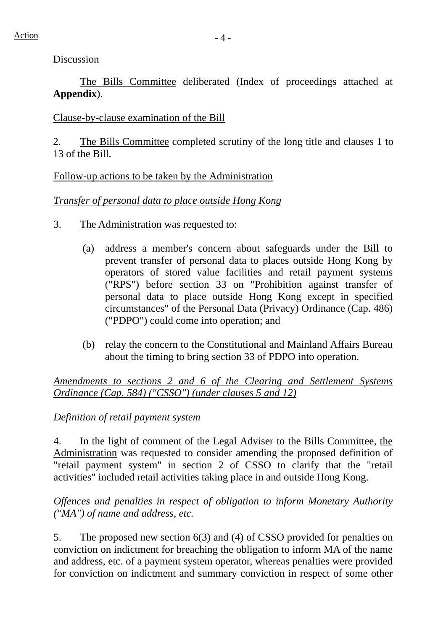### Discussion

 The Bills Committee deliberated (Index of proceedings attached at **Appendix**).

## Clause-by-clause examination of the Bill

2. The Bills Committee completed scrutiny of the long title and clauses 1 to 13 of the Bill.

### Follow-up actions to be taken by the Administration

### *Transfer of personal data to place outside Hong Kong*

- 3. The Administration was requested to:
	- (a) address a member's concern about safeguards under the Bill to prevent transfer of personal data to places outside Hong Kong by operators of stored value facilities and retail payment systems ("RPS") before section 33 on "Prohibition against transfer of personal data to place outside Hong Kong except in specified circumstances" of the Personal Data (Privacy) Ordinance (Cap. 486) ("PDPO") could come into operation; and
	- (b) relay the concern to the Constitutional and Mainland Affairs Bureau about the timing to bring section 33 of PDPO into operation.

*Amendments to sections 2 and 6 of the Clearing and Settlement Systems Ordinance (Cap. 584) ("CSSO") (under clauses 5 and 12)*

*Definition of retail payment system* 

4. In the light of comment of the Legal Adviser to the Bills Committee, the Administration was requested to consider amending the proposed definition of "retail payment system" in section 2 of CSSO to clarify that the "retail activities" included retail activities taking place in and outside Hong Kong.

*Offences and penalties in respect of obligation to inform Monetary Authority ("MA") of name and address, etc.* 

5. The proposed new section 6(3) and (4) of CSSO provided for penalties on conviction on indictment for breaching the obligation to inform MA of the name and address, etc. of a payment system operator, whereas penalties were provided for conviction on indictment and summary conviction in respect of some other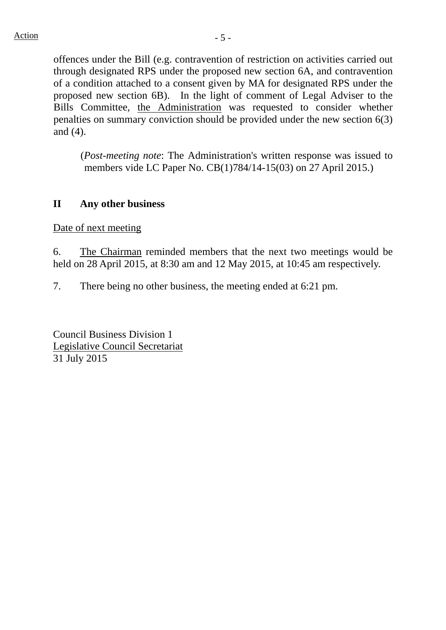offences under the Bill (e.g. contravention of restriction on activities carried out through designated RPS under the proposed new section 6A, and contravention of a condition attached to a consent given by MA for designated RPS under the proposed new section 6B). In the light of comment of Legal Adviser to the Bills Committee, the Administration was requested to consider whether penalties on summary conviction should be provided under the new section 6(3) and (4).

(*Post-meeting note*: The Administration's written response was issued to members vide LC Paper No. CB(1)784/14-15(03) on 27 April 2015.)

# **II Any other business**

Date of next meeting

6. The Chairman reminded members that the next two meetings would be held on 28 April 2015, at 8:30 am and 12 May 2015, at 10:45 am respectively.

7. There being no other business, the meeting ended at 6:21 pm.

Council Business Division 1 Legislative Council Secretariat 31 July 2015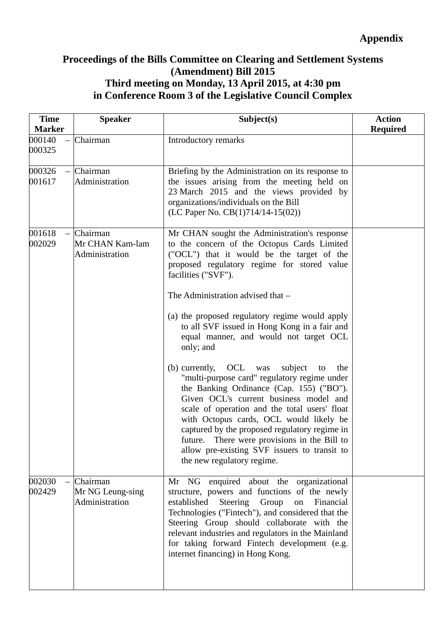# **Proceedings of the Bills Committee on Clearing and Settlement Systems (Amendment) Bill 2015 Third meeting on Monday, 13 April 2015, at 4:30 pm in Conference Room 3 of the Legislative Council Complex**

| <b>Time</b><br><b>Marker</b> | <b>Speaker</b>                                 | Subject(s)                                                                                                                                                                                                                                                                                                                                                                                                                                                                                                                                                                                               | <b>Action</b><br><b>Required</b> |
|------------------------------|------------------------------------------------|----------------------------------------------------------------------------------------------------------------------------------------------------------------------------------------------------------------------------------------------------------------------------------------------------------------------------------------------------------------------------------------------------------------------------------------------------------------------------------------------------------------------------------------------------------------------------------------------------------|----------------------------------|
| 000140<br>000325             | Chairman                                       | Introductory remarks                                                                                                                                                                                                                                                                                                                                                                                                                                                                                                                                                                                     |                                  |
| 000326<br>001617             | Chairman<br>Administration                     | Briefing by the Administration on its response to<br>the issues arising from the meeting held on<br>23 March 2015 and the views provided by<br>organizations/individuals on the Bill<br>(LC Paper No. CB(1)714/14-15(02))                                                                                                                                                                                                                                                                                                                                                                                |                                  |
| 001618<br>$\equiv$<br>002029 | Chairman<br>Mr CHAN Kam-lam<br>Administration  | Mr CHAN sought the Administration's response<br>to the concern of the Octopus Cards Limited<br>("OCL") that it would be the target of the<br>proposed regulatory regime for stored value<br>facilities ("SVF").<br>The Administration advised that –<br>(a) the proposed regulatory regime would apply<br>to all SVF issued in Hong Kong in a fair and<br>equal manner, and would not target OCL<br>only; and<br>OCL was<br>subject<br>(b) currently,<br>to<br>the<br>"multi-purpose card" regulatory regime under<br>the Banking Ordinance (Cap. 155) ("BO").<br>Given OCL's current business model and |                                  |
|                              |                                                | scale of operation and the total users' float<br>with Octopus cards, OCL would likely be<br>captured by the proposed regulatory regime in<br>future. There were provisions in the Bill to<br>allow pre-existing SVF issuers to transit to<br>the new regulatory regime.                                                                                                                                                                                                                                                                                                                                  |                                  |
| 002030<br>$\equiv$<br>002429 | Chairman<br>Mr NG Leung-sing<br>Administration | Mr NG enquired about the organizational<br>structure, powers and functions of the newly<br>established<br>Steering<br>Group<br>Financial<br>on<br>Technologies ("Fintech"), and considered that the<br>Steering Group should collaborate with the<br>relevant industries and regulators in the Mainland<br>for taking forward Fintech development (e.g.<br>internet financing) in Hong Kong.                                                                                                                                                                                                             |                                  |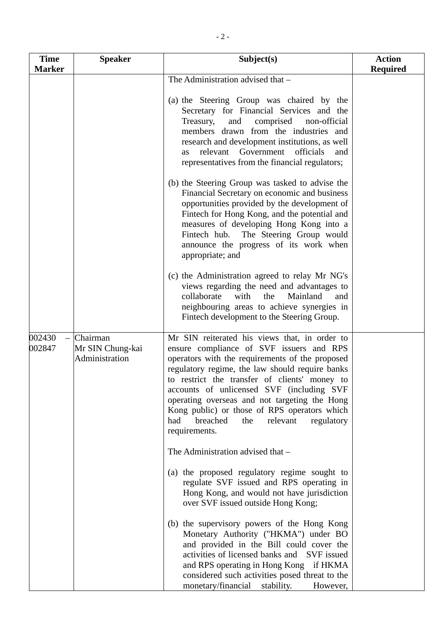| <b>Time</b>      | <b>Speaker</b>                                 | Subject(s)                                                                                                                                                                                                                                                                                                                                                                                                                                                                                                                                                                                                                                                                                                           | <b>Action</b>   |
|------------------|------------------------------------------------|----------------------------------------------------------------------------------------------------------------------------------------------------------------------------------------------------------------------------------------------------------------------------------------------------------------------------------------------------------------------------------------------------------------------------------------------------------------------------------------------------------------------------------------------------------------------------------------------------------------------------------------------------------------------------------------------------------------------|-----------------|
| <b>Marker</b>    |                                                |                                                                                                                                                                                                                                                                                                                                                                                                                                                                                                                                                                                                                                                                                                                      | <b>Required</b> |
|                  |                                                | The Administration advised that -<br>(a) the Steering Group was chaired by the<br>Secretary for Financial Services and the<br>Treasury,<br>comprised<br>and<br>non-official<br>members drawn from the industries and<br>research and development institutions, as well<br>Government<br>relevant<br>officials<br>and<br><b>as</b><br>representatives from the financial regulators;<br>(b) the Steering Group was tasked to advise the<br>Financial Secretary on economic and business<br>opportunities provided by the development of<br>Fintech for Hong Kong, and the potential and<br>measures of developing Hong Kong into a<br>Fintech hub. The Steering Group would<br>announce the progress of its work when |                 |
|                  |                                                | appropriate; and<br>(c) the Administration agreed to relay Mr NG's<br>views regarding the need and advantages to<br>collaborate<br>with<br>the<br>Mainland<br>and<br>neighbouring areas to achieve synergies in<br>Fintech development to the Steering Group.                                                                                                                                                                                                                                                                                                                                                                                                                                                        |                 |
| 002430<br>002847 | Chairman<br>Mr SIN Chung-kai<br>Administration | Mr SIN reiterated his views that, in order to<br>ensure compliance of SVF issuers and RPS<br>operators with the requirements of the proposed<br>regulatory regime, the law should require banks<br>to restrict the transfer of clients' money to<br>accounts of unlicensed SVF (including SVF<br>operating overseas and not targeting the Hong<br>Kong public) or those of RPS operators which<br>breached<br>relevant<br>had<br>the<br>regulatory<br>requirements.                                                                                                                                                                                                                                                  |                 |
|                  |                                                | The Administration advised that -<br>(a) the proposed regulatory regime sought to<br>regulate SVF issued and RPS operating in<br>Hong Kong, and would not have jurisdiction<br>over SVF issued outside Hong Kong;<br>(b) the supervisory powers of the Hong Kong                                                                                                                                                                                                                                                                                                                                                                                                                                                     |                 |
|                  |                                                | Monetary Authority ("HKMA") under BO<br>and provided in the Bill could cover the<br>activities of licensed banks and SVF issued<br>and RPS operating in Hong Kong if HKMA<br>considered such activities posed threat to the<br>monetary/financial<br>stability.<br>However,                                                                                                                                                                                                                                                                                                                                                                                                                                          |                 |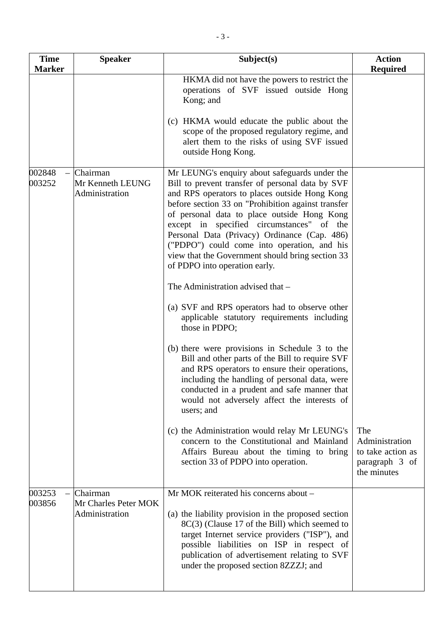| <b>Time</b><br><b>Marker</b> | <b>Speaker</b>                                     | Subject(s)                                                                                                                                                                                                                                                                                                                                                                                                                                                                               | <b>Action</b><br><b>Required</b>                                            |
|------------------------------|----------------------------------------------------|------------------------------------------------------------------------------------------------------------------------------------------------------------------------------------------------------------------------------------------------------------------------------------------------------------------------------------------------------------------------------------------------------------------------------------------------------------------------------------------|-----------------------------------------------------------------------------|
|                              |                                                    | HKMA did not have the powers to restrict the<br>operations of SVF issued outside Hong<br>Kong; and                                                                                                                                                                                                                                                                                                                                                                                       |                                                                             |
|                              |                                                    | (c) HKMA would educate the public about the<br>scope of the proposed regulatory regime, and<br>alert them to the risks of using SVF issued<br>outside Hong Kong.                                                                                                                                                                                                                                                                                                                         |                                                                             |
| 002848<br>003252             | Chairman<br>Mr Kenneth LEUNG<br>Administration     | Mr LEUNG's enquiry about safeguards under the<br>Bill to prevent transfer of personal data by SVF<br>and RPS operators to places outside Hong Kong<br>before section 33 on "Prohibition against transfer<br>of personal data to place outside Hong Kong<br>except in specified circumstances" of the<br>Personal Data (Privacy) Ordinance (Cap. 486)<br>("PDPO") could come into operation, and his<br>view that the Government should bring section 33<br>of PDPO into operation early. |                                                                             |
|                              |                                                    | The Administration advised that -                                                                                                                                                                                                                                                                                                                                                                                                                                                        |                                                                             |
|                              |                                                    | (a) SVF and RPS operators had to observe other<br>applicable statutory requirements including<br>those in PDPO;                                                                                                                                                                                                                                                                                                                                                                          |                                                                             |
|                              |                                                    | (b) there were provisions in Schedule 3 to the<br>Bill and other parts of the Bill to require SVF<br>and RPS operators to ensure their operations,<br>including the handling of personal data, were<br>conducted in a prudent and safe manner that<br>would not adversely affect the interests of<br>users; and                                                                                                                                                                          |                                                                             |
|                              |                                                    | (c) the Administration would relay Mr LEUNG's<br>concern to the Constitutional and Mainland<br>Affairs Bureau about the timing to bring<br>section 33 of PDPO into operation.                                                                                                                                                                                                                                                                                                            | The<br>Administration<br>to take action as<br>paragraph 3 of<br>the minutes |
| 003253<br>003856             | Chairman<br>Mr Charles Peter MOK<br>Administration | Mr MOK reiterated his concerns about -<br>(a) the liability provision in the proposed section<br>8C(3) (Clause 17 of the Bill) which seemed to<br>target Internet service providers ("ISP"), and<br>possible liabilities on ISP in respect of<br>publication of advertisement relating to SVF<br>under the proposed section 8ZZZJ; and                                                                                                                                                   |                                                                             |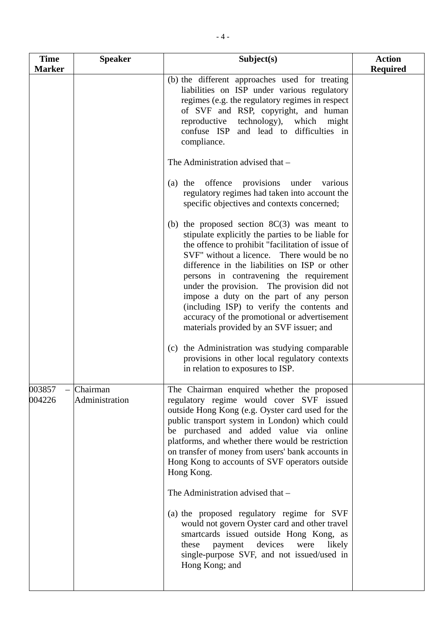| <b>Time</b><br><b>Marker</b> | <b>Speaker</b>             | Subject(s)                                                                                                                                                                                                                                                                                                                                                                                                                                                                                                                                                                            | <b>Action</b><br><b>Required</b> |
|------------------------------|----------------------------|---------------------------------------------------------------------------------------------------------------------------------------------------------------------------------------------------------------------------------------------------------------------------------------------------------------------------------------------------------------------------------------------------------------------------------------------------------------------------------------------------------------------------------------------------------------------------------------|----------------------------------|
|                              |                            | (b) the different approaches used for treating<br>liabilities on ISP under various regulatory<br>regimes (e.g. the regulatory regimes in respect<br>of SVF and RSP, copyright, and human<br>reproductive<br>technology), which<br>might<br>confuse ISP and lead to difficulties in<br>compliance.                                                                                                                                                                                                                                                                                     |                                  |
|                              |                            | The Administration advised that -<br>offence<br>provisions<br>under<br>$(a)$ the<br>various                                                                                                                                                                                                                                                                                                                                                                                                                                                                                           |                                  |
|                              |                            | regulatory regimes had taken into account the<br>specific objectives and contexts concerned;                                                                                                                                                                                                                                                                                                                                                                                                                                                                                          |                                  |
|                              |                            | (b) the proposed section $8C(3)$ was meant to<br>stipulate explicitly the parties to be liable for<br>the offence to prohibit "facilitation of issue of<br>SVF" without a licence. There would be no<br>difference in the liabilities on ISP or other<br>persons in contravening the requirement<br>under the provision. The provision did not<br>impose a duty on the part of any person<br>(including ISP) to verify the contents and<br>accuracy of the promotional or advertisement<br>materials provided by an SVF issuer; and<br>(c) the Administration was studying comparable |                                  |
|                              |                            | provisions in other local regulatory contexts<br>in relation to exposures to ISP.                                                                                                                                                                                                                                                                                                                                                                                                                                                                                                     |                                  |
| 003857<br>$\equiv$<br>004226 | Chairman<br>Administration | The Chairman enquired whether the proposed<br>regulatory regime would cover SVF issued<br>outside Hong Kong (e.g. Oyster card used for the<br>public transport system in London) which could<br>be purchased and added value via online<br>platforms, and whether there would be restriction<br>on transfer of money from users' bank accounts in<br>Hong Kong to accounts of SVF operators outside<br>Hong Kong.                                                                                                                                                                     |                                  |
|                              |                            | The Administration advised that -                                                                                                                                                                                                                                                                                                                                                                                                                                                                                                                                                     |                                  |
|                              |                            | (a) the proposed regulatory regime for SVF<br>would not govern Oyster card and other travel<br>smartcards issued outside Hong Kong, as<br>devices were<br>these<br>likely<br>payment<br>single-purpose SVF, and not issued/used in<br>Hong Kong; and                                                                                                                                                                                                                                                                                                                                  |                                  |
|                              |                            |                                                                                                                                                                                                                                                                                                                                                                                                                                                                                                                                                                                       |                                  |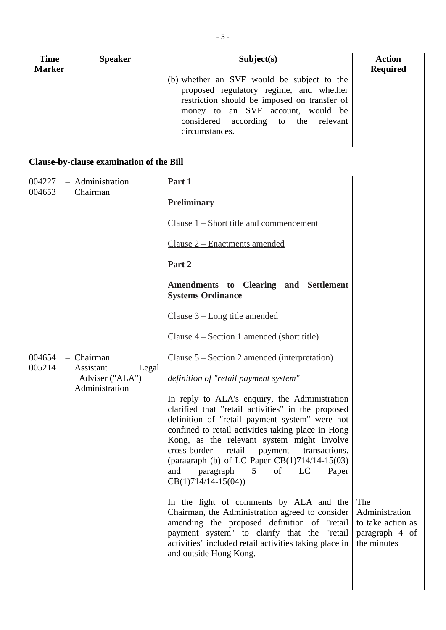| <b>Time</b><br><b>Marker</b> | <b>Speaker</b>                                                      | Subject(s)                                                                                                                                                                                                                                                                                                                                                                                                                                             | <b>Action</b><br><b>Required</b>                                            |
|------------------------------|---------------------------------------------------------------------|--------------------------------------------------------------------------------------------------------------------------------------------------------------------------------------------------------------------------------------------------------------------------------------------------------------------------------------------------------------------------------------------------------------------------------------------------------|-----------------------------------------------------------------------------|
|                              |                                                                     | (b) whether an SVF would be subject to the<br>proposed regulatory regime, and whether<br>restriction should be imposed on transfer of<br>money to an SVF account, would be<br>considered according to the relevant<br>circumstances.                                                                                                                                                                                                                   |                                                                             |
|                              | Clause-by-clause examination of the Bill                            |                                                                                                                                                                                                                                                                                                                                                                                                                                                        |                                                                             |
| 004227<br>004653             | Administration<br>Chairman                                          | Part 1                                                                                                                                                                                                                                                                                                                                                                                                                                                 |                                                                             |
|                              |                                                                     | <b>Preliminary</b>                                                                                                                                                                                                                                                                                                                                                                                                                                     |                                                                             |
|                              |                                                                     | Clause 1 – Short title and commencement                                                                                                                                                                                                                                                                                                                                                                                                                |                                                                             |
|                              |                                                                     | Clause 2 – Enactments amended                                                                                                                                                                                                                                                                                                                                                                                                                          |                                                                             |
|                              |                                                                     | Part 2                                                                                                                                                                                                                                                                                                                                                                                                                                                 |                                                                             |
|                              |                                                                     | Amendments to Clearing and Settlement<br><b>Systems Ordinance</b>                                                                                                                                                                                                                                                                                                                                                                                      |                                                                             |
|                              |                                                                     | Clause $3 - Long$ title amended                                                                                                                                                                                                                                                                                                                                                                                                                        |                                                                             |
|                              |                                                                     | Clause $4$ – Section 1 amended (short title)                                                                                                                                                                                                                                                                                                                                                                                                           |                                                                             |
| 004654<br>005214             | Chairman<br>Assistant<br>Legal<br>Adviser ("ALA")<br>Administration | Clause $5 - Section 2$ amended (interpretation)<br>definition of "retail payment system"                                                                                                                                                                                                                                                                                                                                                               |                                                                             |
|                              |                                                                     | In reply to ALA's enquiry, the Administration<br>clarified that "retail activities" in the proposed<br>definition of "retail payment system" were not<br>confined to retail activities taking place in Hong<br>Kong, as the relevant system might involve<br>cross-border<br>retail<br>payment<br>transactions.<br>(paragraph (b) of LC Paper $CB(1)714/14-15(03)$<br>paragraph<br>LC<br>and<br>5 <sup>5</sup><br>of<br>Paper<br>$CB(1)714/14-15(04))$ |                                                                             |
|                              |                                                                     | In the light of comments by ALA and the<br>Chairman, the Administration agreed to consider<br>amending the proposed definition of "retail<br>payment system" to clarify that the "retail<br>activities" included retail activities taking place in<br>and outside Hong Kong.                                                                                                                                                                           | The<br>Administration<br>to take action as<br>paragraph 4 of<br>the minutes |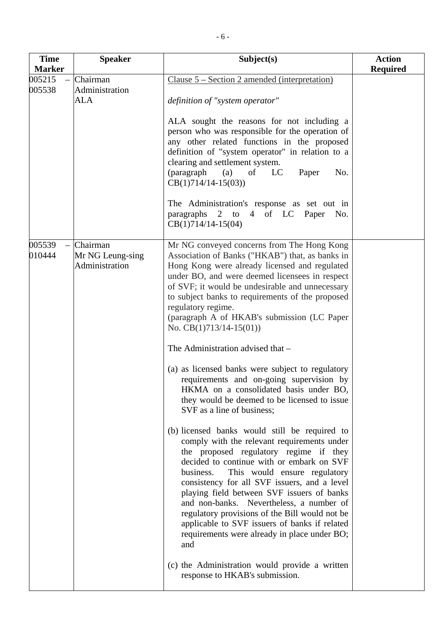| <b>Time</b><br><b>Marker</b> | <b>Speaker</b>                                 | Subject(s)                                                                                                                                                                                                                                                                                                                                                                                                                                                                                                                                                                                                                                                                                                                                                                                                                                                                                                                                                                                                                                                                                                                                                                                                                                                                                         | <b>Action</b><br><b>Required</b> |
|------------------------------|------------------------------------------------|----------------------------------------------------------------------------------------------------------------------------------------------------------------------------------------------------------------------------------------------------------------------------------------------------------------------------------------------------------------------------------------------------------------------------------------------------------------------------------------------------------------------------------------------------------------------------------------------------------------------------------------------------------------------------------------------------------------------------------------------------------------------------------------------------------------------------------------------------------------------------------------------------------------------------------------------------------------------------------------------------------------------------------------------------------------------------------------------------------------------------------------------------------------------------------------------------------------------------------------------------------------------------------------------------|----------------------------------|
| 005215<br>005538             | Chairman<br>Administration<br>ALA              | Clause $5 - Section 2$ amended (interpretation)<br>definition of "system operator"<br>ALA sought the reasons for not including a<br>person who was responsible for the operation of<br>any other related functions in the proposed<br>definition of "system operator" in relation to a<br>clearing and settlement system.<br>(paragraph (a)<br>of<br>$_{\rm LC}$<br>Paper<br>No.<br>$CB(1)714/14-15(03))$                                                                                                                                                                                                                                                                                                                                                                                                                                                                                                                                                                                                                                                                                                                                                                                                                                                                                          |                                  |
|                              |                                                | The Administration's response as set out in<br>paragraphs 2 to 4 of LC Paper No.<br>$CB(1)714/14-15(04)$                                                                                                                                                                                                                                                                                                                                                                                                                                                                                                                                                                                                                                                                                                                                                                                                                                                                                                                                                                                                                                                                                                                                                                                           |                                  |
| 005539<br>010444             | Chairman<br>Mr NG Leung-sing<br>Administration | Mr NG conveyed concerns from The Hong Kong<br>Association of Banks ("HKAB") that, as banks in<br>Hong Kong were already licensed and regulated<br>under BO, and were deemed licensees in respect<br>of SVF; it would be undesirable and unnecessary<br>to subject banks to requirements of the proposed<br>regulatory regime.<br>(paragraph A of HKAB's submission (LC Paper)<br>No. $CB(1)713/14-15(01)$<br>The Administration advised that -<br>(a) as licensed banks were subject to regulatory<br>requirements and on-going supervision by<br>HKMA on a consolidated basis under BO,<br>they would be deemed to be licensed to issue<br>SVF as a line of business;<br>(b) licensed banks would still be required to<br>comply with the relevant requirements under<br>the proposed regulatory regime if they<br>decided to continue with or embark on SVF<br>business.<br>This would ensure regulatory<br>consistency for all SVF issuers, and a level<br>playing field between SVF issuers of banks<br>and non-banks. Nevertheless, a number of<br>regulatory provisions of the Bill would not be<br>applicable to SVF issuers of banks if related<br>requirements were already in place under BO;<br>and<br>(c) the Administration would provide a written<br>response to HKAB's submission. |                                  |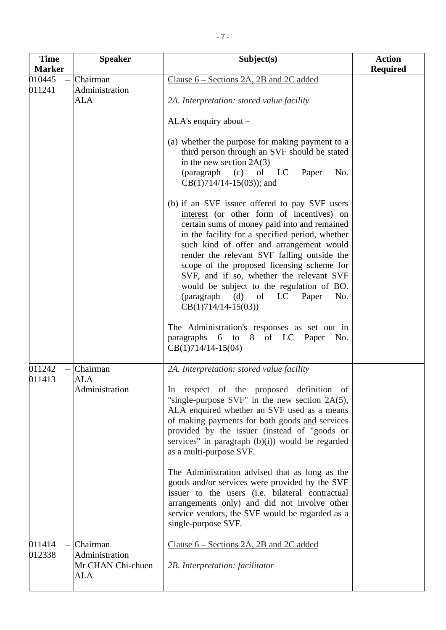| <b>Time</b><br><b>Marker</b> | <b>Speaker</b>                                         | Subject(s)                                                                                                                                                                                                                                                                                                                                                                                                                                                                                          | <b>Action</b><br><b>Required</b> |
|------------------------------|--------------------------------------------------------|-----------------------------------------------------------------------------------------------------------------------------------------------------------------------------------------------------------------------------------------------------------------------------------------------------------------------------------------------------------------------------------------------------------------------------------------------------------------------------------------------------|----------------------------------|
| 010445<br>011241             | Chairman<br>Administration<br><b>ALA</b>               | Clause $6$ – Sections 2A, 2B and 2C added<br>2A. Interpretation: stored value facility<br>$ALA's$ enquiry about $-$                                                                                                                                                                                                                                                                                                                                                                                 |                                  |
|                              |                                                        | (a) whether the purpose for making payment to a<br>third person through an SVF should be stated<br>in the new section $2A(3)$<br>(paragraph)<br>(c)<br>of LC<br>Paper<br>No.<br>$CB(1)714/14-15(03)$ ; and                                                                                                                                                                                                                                                                                          |                                  |
|                              |                                                        | (b) if an SVF issuer offered to pay SVF users<br>interest (or other form of incentives) on<br>certain sums of money paid into and remained<br>in the facility for a specified period, whether<br>such kind of offer and arrangement would<br>render the relevant SVF falling outside the<br>scope of the proposed licensing scheme for<br>SVF, and if so, whether the relevant SVF<br>would be subject to the regulation of BO.<br>(paragraph (d) of<br>LC<br>Paper<br>No.<br>$CB(1)714/14-15(03))$ |                                  |
|                              |                                                        | The Administration's responses as set out in<br>$6$ to<br>of LC Paper No.<br>paragraphs<br>8<br>$CB(1)714/14-15(04)$                                                                                                                                                                                                                                                                                                                                                                                |                                  |
| 011242<br>011413             | Chairman<br><b>ALA</b><br>Administration               | 2A. Interpretation: stored value facility<br>In respect of the proposed definition of<br>"single-purpose SVF" in the new section $2A(5)$ ,<br>ALA enquired whether an SVF used as a means<br>of making payments for both goods and services<br>provided by the issuer (instead of "goods or<br>services" in paragraph $(b)(i)$ would be regarded<br>as a multi-purpose SVF.<br>The Administration advised that as long as the<br>goods and/or services were provided by the SVF                     |                                  |
|                              |                                                        | issuer to the users (i.e. bilateral contractual<br>arrangements only) and did not involve other<br>service vendors, the SVF would be regarded as a<br>single-purpose SVF.                                                                                                                                                                                                                                                                                                                           |                                  |
| 011414<br>012338             | Chairman<br>Administration<br>Mr CHAN Chi-chuen<br>ALA | Clause 6 – Sections 2A, 2B and 2C added<br>2B. Interpretation: facilitator                                                                                                                                                                                                                                                                                                                                                                                                                          |                                  |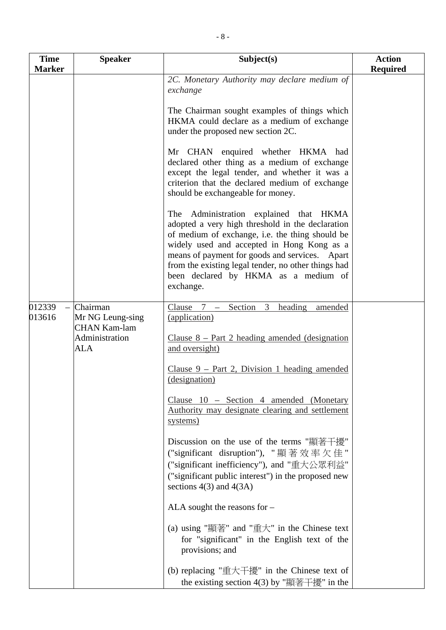| <b>Time</b><br><b>Marker</b> | <b>Speaker</b>                                                               | Subject(s)                                                                                                                                                                                                                                                                                                                                                   | <b>Action</b><br><b>Required</b> |
|------------------------------|------------------------------------------------------------------------------|--------------------------------------------------------------------------------------------------------------------------------------------------------------------------------------------------------------------------------------------------------------------------------------------------------------------------------------------------------------|----------------------------------|
|                              |                                                                              | 2C. Monetary Authority may declare medium of<br>exchange                                                                                                                                                                                                                                                                                                     |                                  |
|                              |                                                                              | The Chairman sought examples of things which<br>HKMA could declare as a medium of exchange<br>under the proposed new section 2C.                                                                                                                                                                                                                             |                                  |
|                              |                                                                              | Mr CHAN enquired whether HKMA had<br>declared other thing as a medium of exchange<br>except the legal tender, and whether it was a<br>criterion that the declared medium of exchange<br>should be exchangeable for money.                                                                                                                                    |                                  |
|                              |                                                                              | Administration explained that HKMA<br>The<br>adopted a very high threshold in the declaration<br>of medium of exchange, i.e. the thing should be<br>widely used and accepted in Hong Kong as a<br>means of payment for goods and services. Apart<br>from the existing legal tender, no other things had<br>been declared by HKMA as a medium of<br>exchange. |                                  |
| 012339<br>013616             | Chairman<br>Mr NG Leung-sing<br><b>CHAN Kam-lam</b><br>Administration<br>ALA | Section<br>3<br>heading<br>Clause $7 -$<br>amended<br>(application)<br>Clause $8$ – Part 2 heading amended (designation<br>and oversight)                                                                                                                                                                                                                    |                                  |
|                              |                                                                              | Clause $9$ – Part 2, Division 1 heading amended<br>(designation)                                                                                                                                                                                                                                                                                             |                                  |
|                              |                                                                              | Clause 10 - Section 4 amended (Monetary<br>Authority may designate clearing and settlement<br>systems)                                                                                                                                                                                                                                                       |                                  |
|                              |                                                                              | Discussion on the use of the terms "顯著干擾"<br>("significant disruption"), "顯著效率欠佳"<br>("significant inefficiency"), and "重大公眾利益"<br>("significant public interest") in the proposed new<br>sections $4(3)$ and $4(3A)$                                                                                                                                        |                                  |
|                              |                                                                              | ALA sought the reasons for $-$                                                                                                                                                                                                                                                                                                                               |                                  |
|                              |                                                                              | (a) using "顯著" and "重大" in the Chinese text<br>for "significant" in the English text of the<br>provisions; and                                                                                                                                                                                                                                               |                                  |
|                              |                                                                              | (b) replacing "重大干擾" in the Chinese text of<br>the existing section 4(3) by "顯著干擾" in the                                                                                                                                                                                                                                                                    |                                  |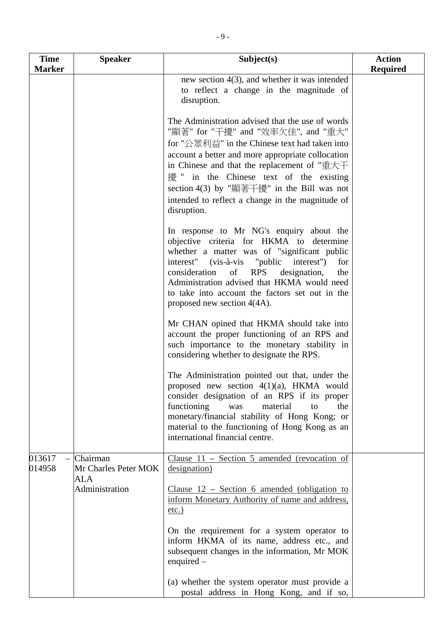| <b>Time</b>      | <b>Speaker</b>                                            | Subject(s)                                                                                                                                                                                                                                                                                                                                                                                                         | <b>Action</b>   |
|------------------|-----------------------------------------------------------|--------------------------------------------------------------------------------------------------------------------------------------------------------------------------------------------------------------------------------------------------------------------------------------------------------------------------------------------------------------------------------------------------------------------|-----------------|
| <b>Marker</b>    |                                                           |                                                                                                                                                                                                                                                                                                                                                                                                                    | <b>Required</b> |
|                  |                                                           | new section $4(3)$ , and whether it was intended<br>to reflect a change in the magnitude of<br>disruption.                                                                                                                                                                                                                                                                                                         |                 |
|                  |                                                           | The Administration advised that the use of words<br>"顯著" for "干擾" and "效率欠佳", and "重大"<br>for "公眾利益" in the Chinese text had taken into<br>account a better and more appropriate collocation<br>in Chinese and that the replacement of " $\pm \pm \mp$<br>擾 " in the Chinese text of the existing<br>section 4(3) by "顯著干擾" in the Bill was not<br>intended to reflect a change in the magnitude of<br>disruption. |                 |
|                  |                                                           | In response to Mr NG's enquiry about the<br>objective criteria for HKMA to determine<br>whether a matter was of "significant public<br>interest" (vis-à-vis "public interest")<br>for<br>consideration<br>of RPS<br>designation,<br>the<br>Administration advised that HKMA would need<br>to take into account the factors set out in the<br>proposed new section $4(4A)$ .                                        |                 |
|                  |                                                           | Mr CHAN opined that HKMA should take into<br>account the proper functioning of an RPS and<br>such importance to the monetary stability in<br>considering whether to designate the RPS.                                                                                                                                                                                                                             |                 |
|                  |                                                           | The Administration pointed out that, under the<br>proposed new section $4(1)(a)$ , HKMA would<br>consider designation of an RPS if its proper<br>functioning<br>material<br>the<br>was<br>to<br>monetary/financial stability of Hong Kong; or<br>material to the functioning of Hong Kong as an<br>international financial centre.                                                                                 |                 |
| 013617<br>014958 | Chairman<br>Mr Charles Peter MOK<br>ALA<br>Administration | Clause $11$ – Section 5 amended (revocation of<br>designation)<br>Clause $12$ – Section 6 amended (obligation to                                                                                                                                                                                                                                                                                                   |                 |
|                  |                                                           | inform Monetary Authority of name and address,<br>$etc.$ )                                                                                                                                                                                                                                                                                                                                                         |                 |
|                  |                                                           | On the requirement for a system operator to<br>inform HKMA of its name, address etc., and<br>subsequent changes in the information, Mr MOK<br>enquired $-$                                                                                                                                                                                                                                                         |                 |
|                  |                                                           | (a) whether the system operator must provide a<br>postal address in Hong Kong, and if so,                                                                                                                                                                                                                                                                                                                          |                 |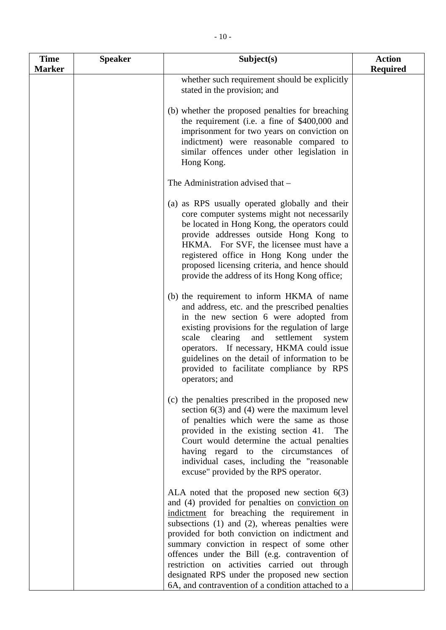| <b>Time</b>   | <b>Speaker</b> | Subject(s)                                                                                                                                                                                                                                                                                                                                                                                                | <b>Action</b>   |
|---------------|----------------|-----------------------------------------------------------------------------------------------------------------------------------------------------------------------------------------------------------------------------------------------------------------------------------------------------------------------------------------------------------------------------------------------------------|-----------------|
| <b>Marker</b> |                |                                                                                                                                                                                                                                                                                                                                                                                                           | <b>Required</b> |
|               |                | whether such requirement should be explicitly<br>stated in the provision; and                                                                                                                                                                                                                                                                                                                             |                 |
|               |                | (b) whether the proposed penalties for breaching<br>the requirement (i.e. a fine of \$400,000 and<br>imprisonment for two years on conviction on<br>indictment) were reasonable compared to<br>similar offences under other legislation in<br>Hong Kong.                                                                                                                                                  |                 |
|               |                | The Administration advised that -                                                                                                                                                                                                                                                                                                                                                                         |                 |
|               |                | (a) as RPS usually operated globally and their<br>core computer systems might not necessarily<br>be located in Hong Kong, the operators could<br>provide addresses outside Hong Kong to<br>HKMA. For SVF, the licensee must have a<br>registered office in Hong Kong under the<br>proposed licensing criteria, and hence should<br>provide the address of its Hong Kong office;                           |                 |
|               |                | (b) the requirement to inform HKMA of name<br>and address, etc. and the prescribed penalties<br>in the new section 6 were adopted from<br>existing provisions for the regulation of large<br>settlement<br>scale<br>clearing<br>and<br>system<br>operators. If necessary, HKMA could issue<br>guidelines on the detail of information to be<br>provided to facilitate compliance by RPS<br>operators; and |                 |
|               |                | (c) the penalties prescribed in the proposed new<br>section $6(3)$ and (4) were the maximum level<br>of penalties which were the same as those<br>provided in the existing section 41.<br>The<br>Court would determine the actual penalties<br>having regard to the circumstances of<br>individual cases, including the "reasonable<br>excuse" provided by the RPS operator.                              |                 |
|               |                | ALA noted that the proposed new section $6(3)$<br>and (4) provided for penalties on conviction on<br>indictment for breaching the requirement in<br>subsections $(1)$ and $(2)$ , whereas penalties were                                                                                                                                                                                                  |                 |

subsections (1) and (2), whereas penalties were provided for both conviction on indictment and summary conviction in respect of some other offences under the Bill (e.g. contravention of restriction on activities carried out through designated RPS under the proposed new section 6A, and contravention of a condition attached to a